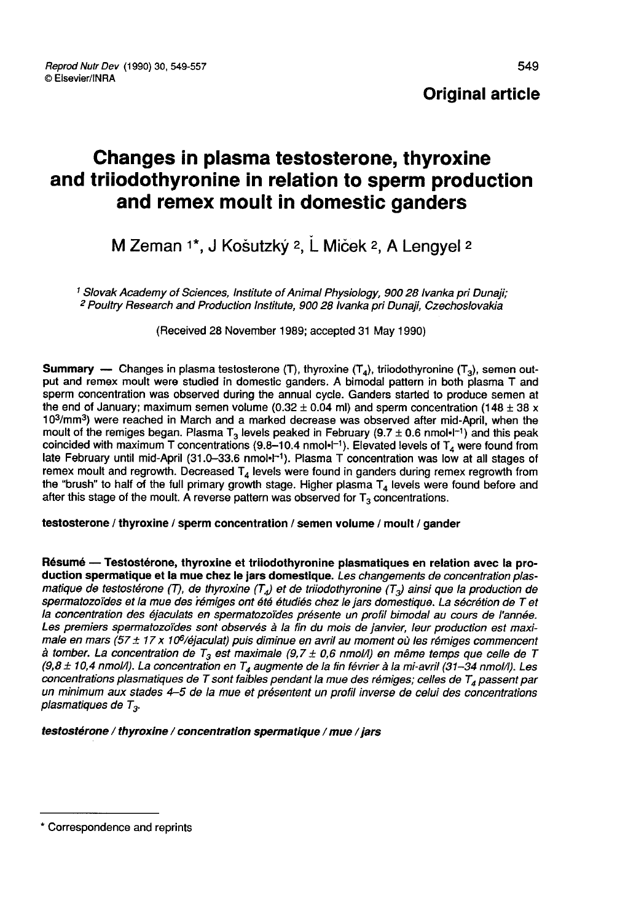# Changes in plasma testosterone, thyroxine and triiodothyronine in relation to sperm production and remex moult in domestic ganders

# M Zeman 1\*, J Košutzký <sup>2</sup>, L Miček <sup>2</sup>, A Lengyel <sup>2</sup>

<sup>1</sup> Slovak Academy of Sciences, Institute of Animal Physiology, 900 28 Ivanka pri Dunaji;<br><sup>2</sup> Poultry Research and Production Institute, 900 28 Ivanka pri Dunaji, Czechoslovakia

(Received 28 November 1989; accepted 31 May 1990)

**Summary** — Changes in plasma testosterone (T), thyroxine  $(T_4)$ , triiodothyronine  $(T_3)$ , semen output and remex moult were studied in domestic ganders. A bimodal pattern in both plasma T and sperm concentration was observed during the annual cycle. Ganders started to produce semen at the end of January; maximum semen volume  $(0.32 \pm 0.04$  ml) and sperm concentration  $(148 \pm 38 \times 10^3/\text{mm}^3)$  were reached in March and a marked decrease was observed after mid-April, when the **Summary** — Changes in plasma testosterone (T), thyroxine (T<sub>4</sub>), triiodothyronine (T<sub>3</sub>), semen out-<br>put and remex moult were studied in domestic ganders. A bimodal pattern in both plasma T and<br>sperm concentration was ob put and remies mout were statied in domestic ganders. A bimodal pattent in both plasma T and<br>sperm concentration was observed during the annual cycle. Ganders started to produce semen at<br>the end of January; maximum semen late February until mid-April (31.0-33.6 nmol·l<sup>-1</sup>). Plasma T concentration was low at all stages of remex moult and regrowth. Decreased  $T_4$  levels were found in ganders during remex regrowth from the "brush" to half of the full primary growth stage. Higher plasma  $T<sub>4</sub>$  levels were found before and after this stage of the moult. A reverse pattern was observed for  $T_3$  concentrations.

#### testosterone / thyroxine / sperm concentration / semen volume / moult / gander

Résumé ― Testostérone, thyroxine et triiodothyronine plasmatiques en relation avec la production spermatique et la mue chez le jars domestique. Les changements de concentration plasmatique de testostérone (T), de thyroxine (T<sub>4</sub>) et de triiodothyronine (T<sub>3</sub>) ainsi que la production de spermatozoïdes et la mue des rémiges ont été étudiés chez le jars domestique. La sécrétion de T et la concentration des éjaculats en spermatozoïdes présente un profil bimodal au cours de l'année. Les premiers spermatozoïdes sont observés à la fin du mois de janvier, leur production est maximale en mars (57 ± 17 x 106/éjaculat) puis diminue en avril au moment où les rémiges commencent à tomber. La concentration de  $T_3$  est maximale (9,7 ± 0,6 nmol/l) en même temps que celle de T (9,8 ± 10,4 nmol/l). La concentration en T<sub>4</sub> augmente de la fin février à la mi-avril (31–34 nmol/l). Les<br>concentrations plasmatiques de T sont faibles pendant la mue des rémiges; celles de T<sub>4</sub> passent par un minimum aux stades 4-5 de la mue et présentent un profil inverse de celui des concentrations plasmatiques de  $T_3$ .

#### testostérone / thyroxine / concentration spermatique / mue / jars

<sup>\*</sup> Correspondence and reprints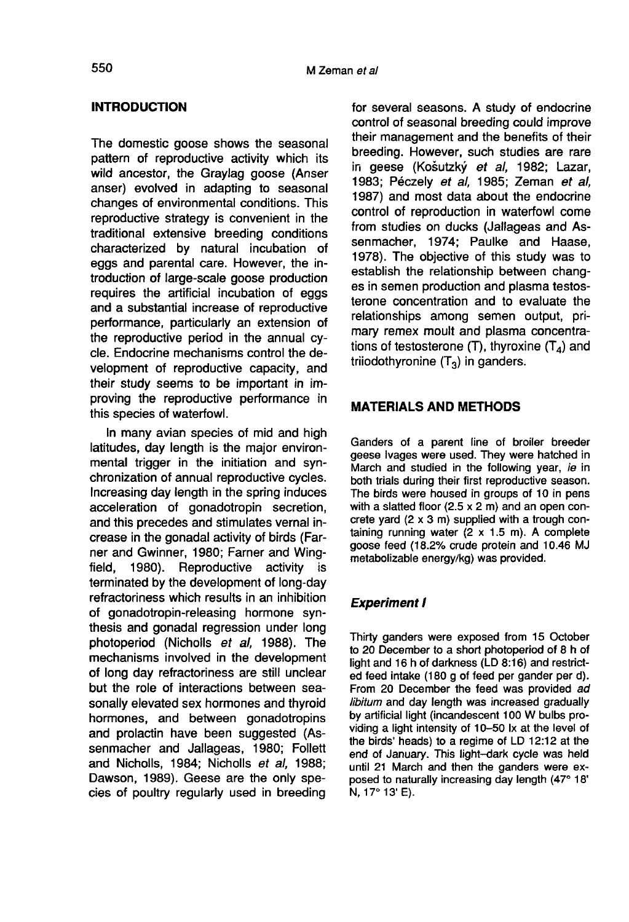### INTRODUCTION

The domestic goose shows the seasonal pattern of reproductive activity which its wild ancestor, the Graylag goose (Anser anser) evolved in adapting to seasonal changes of environmental conditions. This reproductive strategy is convenient in the traditional extensive breeding conditions characterized by natural incubation of eggs and parental care. However, the introduction of large-scale goose production requires the artificial incubation of eggs and a substantial increase of reproductive performance, particularly an extension of the reproductive period in the annual cycle. Endocrine mechanisms control the development of reproductive capacity, and their study seems to be important in improving the reproductive performance in this species of waterfowl.

In many avian species of mid and high latitudes, day length is the major environmental trigger in the initiation and synchronization of annual reproductive cycles. Increasing day length in the spring induces acceleration of gonadotropin secretion, and this precedes and stimulates vernal increase in the gonadal activity of birds (Far ner and Gwinner, 1980; Farner and Wing-<br>field, 1980). Reproductive activity is Reproductive activity is terminated by the development of long-day refractoriness which results in an inhibition of gonadotropin-releasing hormone synthesis and gonadal regression under long photoperiod (Nicholls et al, 1988). The mechanisms involved in the development of long day refractoriness are still unclear but the role of interactions between seasonally elevated sex hormones and thyroid hormones, and between gonadotropins and prolactin have been suggested (Assenmacher and Jallageas, 1980; Follett and Nicholls, 1984; Nicholls et al, 1988; Dawson, 1989). Geese are the only species of poultry regularly used in breeding

for several seasons. A study of endocrine control of seasonal breeding could improve their management and the benefits of their breeding. However, such studies are rare in geese (Košutzký et al, 1982; Lazar, 1983; Péczely et al, 1985; Zeman et al, 1987) and most data about the endocrine control of reproduction in waterfowl come from studies on ducks (Jallageas and Assenmacher, 1974; Paulke and Haase, 1978). The objective of this study was to establish the relationship between chang es in semen production and plasma testosterone concentration and to evaluate the relationships among semen output, primary remex moult and plasma concentrations of testosterone (T), thyroxine  $(T_A)$  and triiodothyronine  $(T_3)$  in ganders.

# MATERIALS AND METHODS

Ganders of a parent line of broiler breeder geese Ivages were used. They were hatched in March and studied in the following year, ie in both trials during their first reproductive season. The birds were housed in groups of 10 in pens with a slatted floor  $(2.5 \times 2 \text{ m})$  and an open concrete yard (2 x 3 m) supplied with a trough containing running water  $(2 \times 1.5 \text{ m})$ . A complete goose feed (18.2% crude protein and 10.46 MJ metabolizable energy/kg) was provided.

## Experiment I

Thirty ganders were exposed from 15 October to 20 December to a short photoperiod of 8 h of light and 16 h of darkness (LD 8:16) and restricted feed intake (180 g of feed per gander per d). From 20 December the feed was provided ad libitum and day length was increased gradually by artificial light (incandescent 100 W bulbs providing a light intensity of 10-50 lx at the level of the birds' heads) to a regime of LD 12:12 at the end of January. This light-dark cycle was held until 21 March and then the ganders were exposed to naturally increasing day length (47° 18' N, 17° 13' E).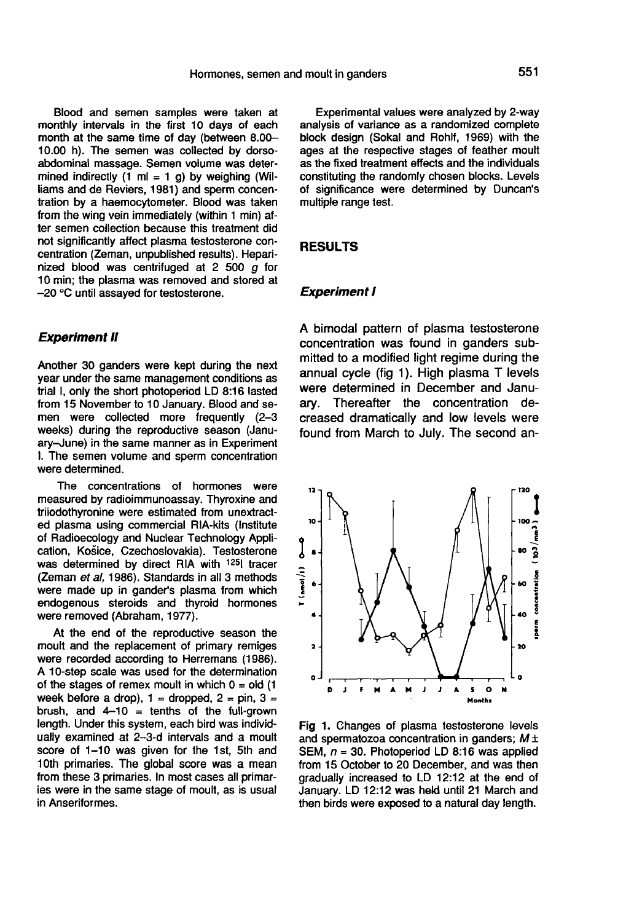Blood and semen samples were taken at monthly intervals in the first 10 days of each month at the same time of day (between 8.00- 10.00 h). The semen was collected by dorsoabdominal massage. Semen volume was determined indirectly  $(1 \text{ ml} = 1 \text{ q})$  by weighing (Williams and de Reviers, 1981) and sperm concentration by a haemocytometer. Blood was taken from the wing vein immediately (within 1 min) after semen collection because this treatment did not significantly affect plasma testosterone concentration (Zeman, unpublished results). Heparinized blood was centrifuged at 2 500  $q$  for 10 min; the plasma was removed and stored at - 20 °C until assayed for testosterone.

### Experiment II

Another 30 ganders were kept during the next year under the same management conditions as trial I, only the short photoperiod LD 8:16 lasted from 15 November to 10 January. Blood and semen were collected more frequently (2-3 weeks) during the reproductive season (January-June) in the same manner as in Experiment 1. The semen volume and sperm concentration were determined.

The concentrations of hormones were measured by radioimmunoassay. Thyroxine and triiodothyronine were estimated from unextracted plasma using commercial RIA-kits (Institute of Radioecology and Nuclear Technology Application, Kosice, Czechoslovakia). Testosterone was determined by direct RIA with <sup>125</sup>l tracer (Zeman et al, 1986). Standards in all 3 methods were made up in gander's plasma from which endogenous steroids and thyroid hormones were removed (Abraham, 1977).

At the end of the reproductive season the moult and the replacement of primary remiges<br>were recorded according to Herremans (1986). A 10-step scale was used for the determination. of the stages of remex moult in which  $0 =$  old (1) week before a drop),  $1 =$  dropped,  $2 =$  pin,  $3 =$ brush, and  $4-10 =$  tenths of the full-grown length. Under this system, each bird was individually examined at 2-3-d intervals and a moult score of 1-10 was given for the 1st, 5th and 10th primaries. The global score was a mean from these 3 primaries. In most cases all primaries were in the same stage of moult, as is usual in Anseriformes.

Experimental values were analyzed by 2-way analysis of variance as a randomized complete block design (Sokal and Rohlf, 1969) with the ages at the respective stages of feather moult as the fixed treatment effects and the individuals constituting the randomly chosen blocks. Levels of significance were determined by Duncan's multiple range test.

#### RESULTS

#### Experiment I

A bimodal pattern of plasma testosterone concentration was found in ganders submitted to a modified light regime during the annual cycle (fig 1). High plasma T levels were determined in December and January. Thereafter the concentration decreased dramatically and low levels were found from March to July. The second an-



Fig 1. Changes of plasma testosterone levels and spermatozoa concentration in ganders;  $M \pm$ SEM,  $n = 30$ . Photoperiod LD 8:16 was applied from 15 October to 20 December, and was then gradually increased to LD 12:12 at the end of January. LD 12:12 was held until 21 March and then birds were exposed to a natural day length.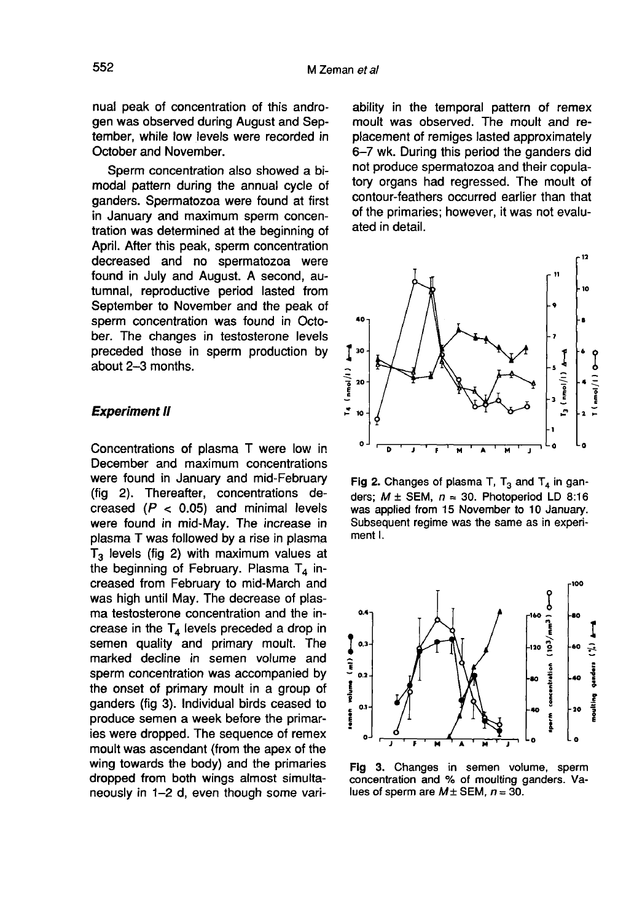nual peak of concentration of this androgen was observed during August and September, while low levels were recorded in October and November.

Sperm concentration also showed a bimodal pattern during the annual cycle of ganders. Spermatozoa were found at first in January and maximum sperm concentration was determined at the beginning of April. After this peak, sperm concentration decreased and no spermatozoa were found in July and August. A second, autumnal, reproductive period lasted from September to November and the peak of sperm concentration was found in October. The changes in testosterone levels preceded those in sperm production by about 2-3 months.

## **Experiment II**

Concentrations of plasma T were low in December and maximum concentrations were found in January and mid-February (fig 2). Thereafter, concentrations decreased  $(P < 0.05)$  and minimal levels were found in mid-May. The increase in plasma T was followed by a rise in plasma  $T_3$  levels (fig 2) with maximum values at the beginning of February. Plasma  $T_4$  increased from February to mid-March and<br>was high until May. The decrease of plasma testosterone concentration and the increase in the  $T<sub>4</sub>$  levels preceded a drop in semen quality and primary moult. The marked decline in semen volume and sperm concentration was accompanied by the onset of primary moult in a group of ganders (fig 3). Individual birds ceased to produce semen a week before the primaries were dropped. The sequence of remex moult was ascendant (from the apex of the wing towards the body) and the primaries dropped from both wings almost simultaneously in 1-2 d, even though some variability in the temporal pattern of remex moult was observed. The moult and replacement of remiges lasted approximately 6-7 wk. During this period the ganders did not produce spermatozoa and their copulatory organs had regressed. The moult of contour-feathers occurred earlier than that of the primaries; however, it was not evaluated in detail.



Fig 2. Changes of plasma T,  $T_3$  and  $T_4$  in ganders;  $M \pm$  SEM,  $n = 30$ . Photoperiod LD 8:16 was applied from 15 November to 10 January. Subsequent regime was the same as in experiment I.



Fig 3. Changes in semen volume, sperm concentration and % of moulting ganders. Values of sperm are  $M \pm$  SEM,  $n = 30$ .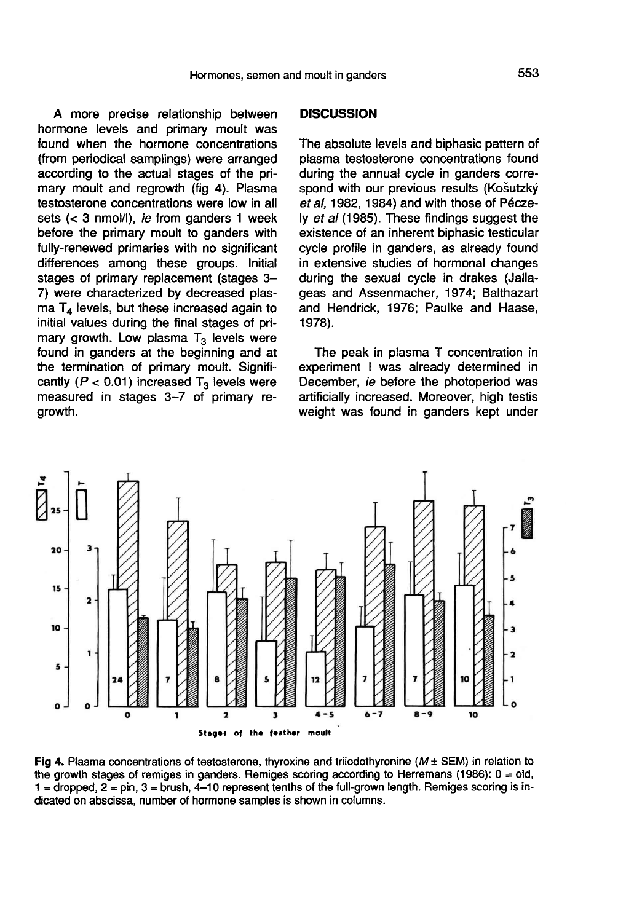A more precise relationship between hormone levels and primary moult was found when the hormone concentrations (from periodical samplings) were arranged according to the actual stages of the primary moult and regrowth (fig 4). Plasma testosterone concentrations were low in all sets (< 3 nmol/1), ie from ganders 1 week before the primary moult to ganders with fully-renewed primaries with no significant differences among these groups. Initial stages of primary replacement (stages 3-7) were characterized by decreased plas $maT<sub>4</sub>$  levels, but these increased again to initial values during the final stages of primary growth. Low plasma  $T_3$  levels were found in ganders at the beginning and at the termination of primary moult. Significantly ( $P < 0.01$ ) increased T<sub>3</sub> levels were measured in stages 3-7 of primary regrowth.

#### **DISCUSSION**

The absolute levels and biphasic pattern of plasma testosterone concentrations found during the annual cycle in ganders correspond with our previous results (Košutzký et al, 1982, 1984) and with those of Péczely et al (1985). These findings suggest the existence of an inherent biphasic testicular cycle profile in ganders, as already found in extensive studies of hormonal changes during the sexual cycle in drakes (Jallageas and Assenmacher, 1974; Balthazart and Hendrick, 1976; Paulke and Haase, 1978).

The peak in plasma T concentration in experiment I was already determined in December, ie before the photoperiod was artificially increased. Moreover, high testis weight was found in ganders kept under



Fig 4. Plasma concentrations of testosterone, thyroxine and triiodothyronine ( $M \pm SEM$ ) in relation to the growth stages of remiges in ganders. Remiges scoring according to Herremans (1986):  $0 = old$ ,  $1 =$  dropped,  $2 =$  pin,  $3 =$  brush,  $4 - 10$  represent tenths of the full-grown length. Remiges scoring is indicated on abscissa, number of hormone samples is shown in columns.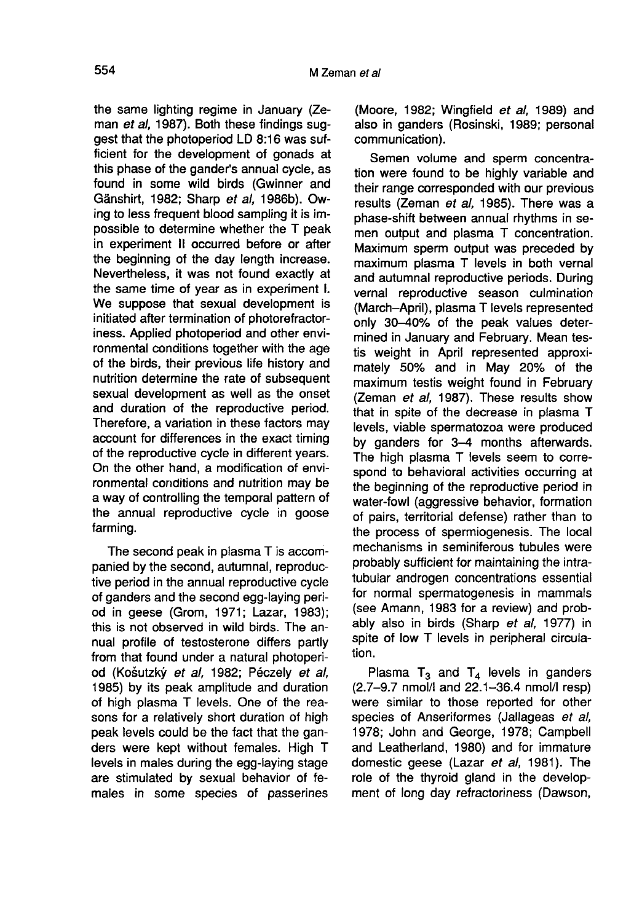the same lighting regime in January (Ze-<br>man et al, 1987). Both these findings suggest that the photoperiod LD 8:16 was sufficient for the development of gonads at this phase of the gander's annual cycle, as found in some wild birds (Gwinner and Gänshirt, 1982; Sharp et al, 1986b). Owing to less frequent blood sampling it is impossible to determine whether the T peak in experiment II occurred before or after the beginning of the day length increase. Nevertheless, it was not found exactly at the same time of year as in experiment I. We suppose that sexual development is initiated after termination of photorefractoriness. Applied photoperiod and other environmental conditions together with the age of the birds, their previous life history and nutrition determine the rate of subsequent sexual development as well as the onset and duration of the reproductive period. Therefore, a variation in these factors may account for differences in the exact timing of the reproductive cycle in different years. On the other hand, a modification of environmental conditions and nutrition may be a way of controlling the temporal pattern of the annual reproductive cycle in goose farming.

The second peak in plasma T is accompanied by the second, autumnal, reproductive period in the annual reproductive cycle of ganders and the second egg-laying period in geese (Grom, 1971; Lazar, 1983); this is not observed in wild birds. The annual profile of testosterone differs partly from that found under a natural photoperiod (Košutzký et al, 1982; Péczely et al, 1985) by its peak amplitude and duration of high plasma T levels. One of the reasons for a relatively short duration of high peak levels could be the fact that the ganders were kept without females. High T levels in males during the egg-laying stage are stimulated by sexual behavior of females in some species of passerines

(Moore, 1982; Wingfield et al. 1989) and also in ganders (Rosinski, 1989; personal communication).

Semen volume and sperm concentration were found to be highly variable and their range corresponded with our previous results (Zeman et al, 1985). There was a phase-shift between annual rhythms in semen output and plasma T concentration. Maximum sperm output was preceded by maximum plasma T levels in both vernal and autumnal reproductive periods. During vernal reproductive season culmination (March-April), plasma T levels represented only 30-40% of the peak values determined in January and February. Mean testis weight in April represented approximately 50% and in May 20% of the maximum testis weight found in February (Zeman et al, 1987). These results show that in spite of the decrease in plasma T levels, viable spermatozoa were produced by ganders for 3-4 months afterwards. The high plasma T levels seem to correspond to behavioral activities occurring at the beginning of the reproductive period in water-fowl (aggressive behavior, formation of pairs, territorial defense) rather than to the process of spermiogenesis. The local mechanisms in seminiferous tubules were probably sufficient for maintaining the intratubular androgen concentrations essential for normal spermatogenesis in mammals (see Amann, 1983 for a review) and probably also in birds (Sharp et al, 1977) in spite of low T levels in peripheral circulation.

Plasma  $T_3$  and  $T_4$  levels in ganders (2.7-9.7 nmol/I and 22.1-36.4 nmol/I resp) were similar to those reported for other species of Anseriformes (Jallageas et al, 1978; John and George, 1978; Campbell and Leatherland, 1980) and for immature domestic geese (Lazar et al, 1981). The role of the thyroid gland in the development of long day refractoriness (Dawson,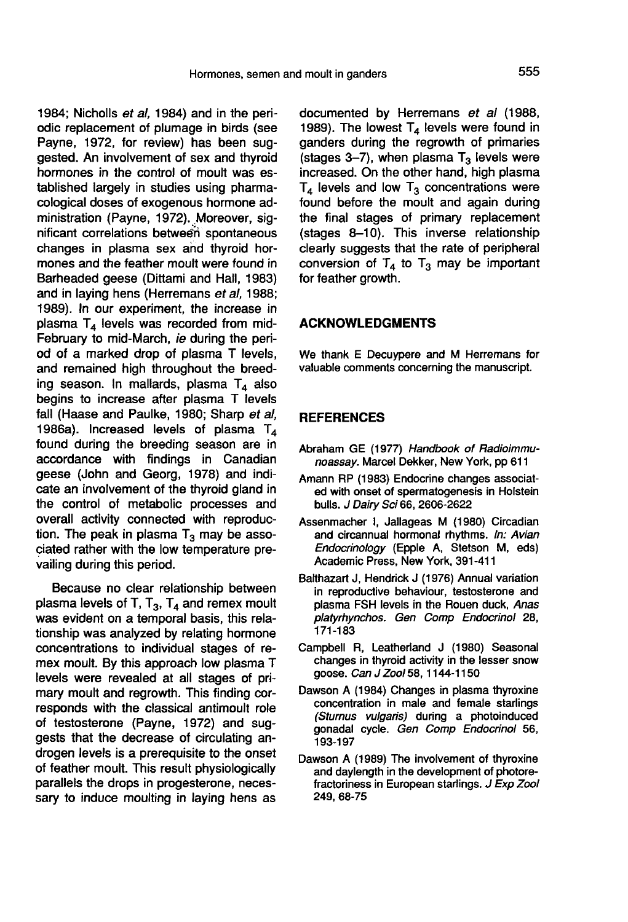1984; Nicholls et al, 1984) and in the periodic replacement of plumage in birds (see Payne, 1972, for review) has been suggested. An involvement of sex and thyroid hormones in the control of moult was established largely in studies using pharmacological doses of exogenous hormone administration (Payne, 1972). Moreover, significant correlations between spontaneous changes in plasma sex and thyroid hormones and the feather moult were found in Barheaded geese (Dittami and Hall, 1983) and in laying hens (Herremans et al, 1988; 1989). In our experiment, the increase in plasma  $T_4$  levels was recorded from mid-February to mid-March, ie during the period of a marked drop of plasma T levels, and remained high throughout the breeding season. In mallards, plasma  $T_A$  also begins to increase after plasma T levels fall (Haase and Paulke, 1980; Sharp et al, 1986a). Increased levels of plasma  $T_A$ found during the breeding season are in accordance with findings in Canadian geese (John and Georg, 1978) and indicate an involvement of the thyroid gland in the control of metabolic processes and overall activity connected with reproduction. The peak in plasma  $T_3$  may be associated rather with the low temperature prevailing during this period.

Because no clear relationship between plasma levels of T,  $T_3$ ,  $T_4$  and remex moult was evident on a temporal basis, this relationship was analyzed by relating hormone concentrations to individual stages of remex moult. By this approach low plasma T levels were revealed at all stages of primary moult and regrowth. This finding corresponds with the classical antimoult role of testosterone (Payne, 1972) and suggests that the decrease of circulating androgen levels is a prerequisite to the onset of feather moult. This result physiologically parallels the drops in progesterone, necessary to induce moulting in laying hens as

documented by Herremans et al (1988, 1989). The lowest  $T_4$  levels were found in ganders during the regrowth of primaries (stages 3-7), when plasma  $T_3$  levels were increased. On the other hand, high plasma  $T_4$  levels and low  $T_3$  concentrations were found before the moult and again during the final stages of primary replacement (stages 8-10). This inverse relationship clearly suggests that the rate of peripheral conversion of  $T_4$  to  $T_3$  may be important for feather growth.

#### ACKNOWLEDGMENTS

We thank E Decuypere and M Herremans for valuable comments concerning the manuscript.

### REFERENCES

- Abraham GE (1977) Handbook of Radioimmunoassay. Marcel Dekker, New York, pp 611
- Amann RP (1983) Endocrine changes associated with onset of spermatogenesis in Holstein bulls. J Dairy Sci 66, 2606-2622
- Assenmacher I, Jallageas M (1980) Circadian and circannual hormonal rhythms. In: Avian Endocrinology (Epple A, Stetson M, eds) Academic Press, New York, 391-411 1
- Bafthazart J, Hendrick J (1976) Annual variation in reproductive behaviour, testosterone and plasma FSH levels in the Rouen duck, Anas platyrhynchos. Gen Comp Endocrinol 28, 171-183
- Campbell R, Leatherland J (1980) Seasonal changes in thyroid activity in the lesser snow goose. Can J Zool 58, 1144-1150
- Dawson A (1984) Changes in plasma thyroxine concentration in male and female starlings (Stumus vulgaris) during a photoinduced gonadal cycle. Gen Comp Endocrinol 56, 193-197
- Dawson A (1989) The involvement of thyroxine and dayiength in the development of photorefractoriness in European starlings. J Exp Zool 249, 68-75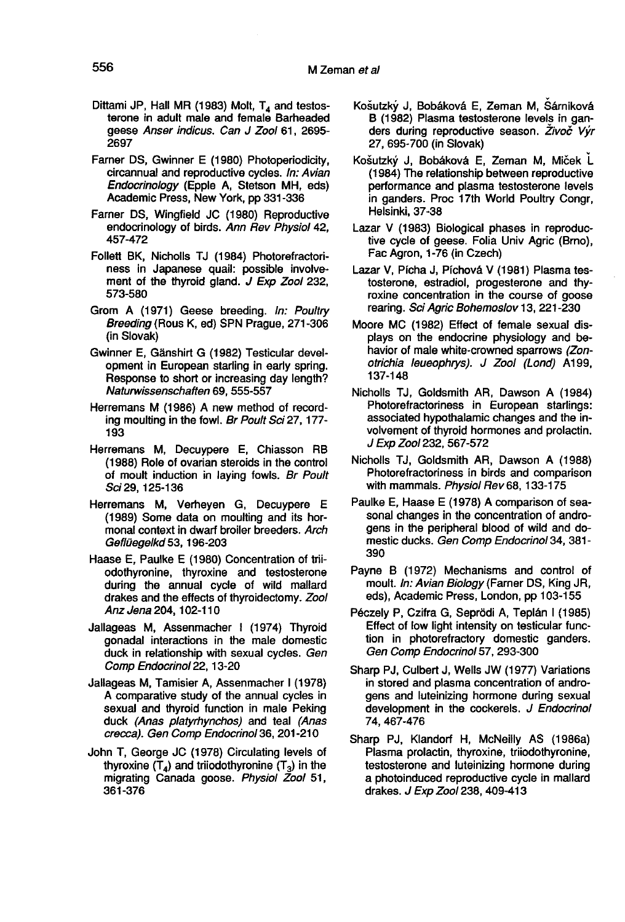- Dittami JP, Hall MR (1983) Molt,  $T_4$  and testosterone in adult male and female Barheaded geese Anser indicus. Can J Zool 61, 2695- 2697
- Farner DS, Gwinner E (1980) Photoperiodicity, circannual and reproductive cycles. In: Avian Endocrinology (Epple A, Stetson MH, eds) Academic Press, New York, pp 331-336
- Farner DS, Wingfield JC (1980) Reproductive endocrinology of birds. Ann Rev Physiol 42, 457-472
- Follett BK, Nicholls TJ (1984) Photorefractoriness in Japanese quail: possible involvement of the thyroid gland. J Exp Zool 232, 573-580
- Grom A (1971) Geese breeding. In: Poultry Breeding (Rous K, ed) SPN Prague, 271-306 (in Slovak)
- Gwinner E, Ganshirt G (1982) Testicular development in European starling in early spring. Response to short or increasing day length? Naturwissenschaften 69, 555-557
- Herremans M (1986) A new method of recording moulting in the fowl. Br Poult Sci 27, 177- 193
- Herremans M, Decuypere E, Chiasson RB (1988) Role of ovarian steroids in the control of moult induction in laying fowls. Br Poult Sci 29, 125-136
- Herremans M, Verheyen G, Decuypere E (1989) Some data on moulting and its hormonal context in dwarf broiler breeders. Arch Geflüegelkd 53, 196-203
- Haase E, Paulke E (1980) Concentration of triiodothyronine, thyroxine and testosterone during the annual cycle of wild mallard drakes and the effects of thyroidectomy. Zool Anz Jena 204, 102-110
- Jallageas M, Assenmacher 1 (1974) Thyroid gonadal interactions in the male domestic duck in relationship with sexual cycles. Gen Comp Endocrinol 22,13-20
- Jallageas M, Tamisier A, Assenmacher 1 (1978) A comparative study of the annual cycles in sexual and thyroid function in male Peking duck (Anas plafyrhynchos) and teal (Anas crecca). Gen Comp Endocrinol 36, 201-210
- John T, George JC (1978) Circulating levels of thyroxine  $(T_4)$  and triiodothyronine  $(T_3)$  in the migrating Canada goose. Physiol Zool 51, 361-376
- Košutzký J, Bobáková E, Zeman M, Sárniková B (1982) Plasma testosterone levels in ganders during reproductive season. Živoč Výr 27, 695-700 (in Slovak)
- Košutzký J, Bobáková E, Zeman M, Miček L (1984) The relationship between reproductive performance and plasma testosterone levels in ganders. Proc 17th World Poultry Congr, Helsinki, 37-38
- Lazar V (1983) Biological phases in reproductive cycle of geese. Folia Univ Agric (Brno), Fac Agron, 1-76 (in Czech)
- Lazar V, Pícha J, Píchová V (1981) Plasma testosterone, estradiol, progesterone and thyroxine concentration in the course of goose rearing. Sci Agric Bohemoslov 13, 221-230
- Moore MC (1982) Effect of female sexual displays on the endocrine physiology and behavior of male white-crowned sparrows (Zonotrichia leueophrys). J Zool (Lond) A199, 137-148
- Nicholls TJ, Goldsmith AR, Dawson A (1984) Photorefractoriness in European starlings: associated hypothalamic changes and the involvement of thyroid hormones and prolactin. J Exp Zool 232, 567-572
- Nicholls TJ, Goldsmith AR, Dawson A (1988) Photorefractoriness in birds and comparison with mammals. Physiol Rev 68, 133-175
- Paulke E, Haase E (1978) A comparison of seasonal changes in the concentration of androgens in the peripheral blood of wild and domestic ducks. Gen Comp Endocrinol 34, 381-390
- Payne B (1972) Mechanisms and control of moult. In: Avian Biology (Farner DS, King JR, eds), Academic Press, London, pp 103-155
- Péczely P, Czifra G, Seprödi A, Teplán I (1985) Effect of low light intensity on testicular function in photorefractory domestic ganders. Gen Comp Endocrinol 57, 293-300
- Sharp PJ, Culbert J, Wells JW (1977) Variations in stored and plasma concentration of androgens and luteinizing hormone during sexual development in the cockerels. J Endocrinol 74, 467-476
- Sharp PJ, Klandorf H, McNeilly AS (1986a) Plasma prolactin, thyroxine, triiodothyronine, testosterone and luteinizing hormone during a photoinduced reproductive cycle in mallard drakes. J Exp Zool 238, 409-413